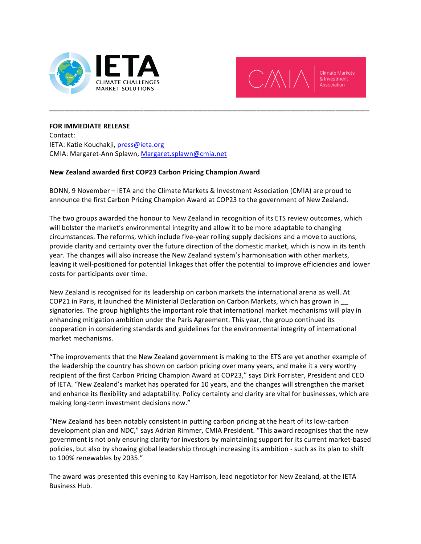



## **FOR IMMEDIATE RELEASE**

Contact: IETA: Katie Kouchakji, press@ieta.org CMIA: Margaret-Ann Splawn, Margaret.splawn@cmia.net

## **New Zealand awarded first COP23 Carbon Pricing Champion Award**

BONN, 9 November – IETA and the Climate Markets & Investment Association (CMIA) are proud to announce the first Carbon Pricing Champion Award at COP23 to the government of New Zealand.

**\_\_\_\_\_\_\_\_\_\_\_\_\_\_\_\_\_\_\_\_\_\_\_\_\_\_\_\_\_\_\_\_\_\_\_\_\_\_\_\_\_\_\_\_\_\_\_\_\_\_\_\_\_\_\_\_\_\_\_\_\_\_\_\_\_\_\_\_\_\_\_\_\_\_\_\_\_\_\_\_\_\_\_\_\_**

The two groups awarded the honour to New Zealand in recognition of its ETS review outcomes, which will bolster the market's environmental integrity and allow it to be more adaptable to changing circumstances. The reforms, which include five-year rolling supply decisions and a move to auctions, provide clarity and certainty over the future direction of the domestic market, which is now in its tenth year. The changes will also increase the New Zealand system's harmonisation with other markets, leaving it well-positioned for potential linkages that offer the potential to improve efficiencies and lower costs for participants over time.

New Zealand is recognised for its leadership on carbon markets the international arena as well. At COP21 in Paris, it launched the Ministerial Declaration on Carbon Markets, which has grown in \_ signatories. The group highlights the important role that international market mechanisms will play in enhancing mitigation ambition under the Paris Agreement. This year, the group continued its cooperation in considering standards and guidelines for the environmental integrity of international market mechanisms.

"The improvements that the New Zealand government is making to the ETS are yet another example of the leadership the country has shown on carbon pricing over many years, and make it a very worthy recipient of the first Carbon Pricing Champion Award at COP23," says Dirk Forrister, President and CEO of IETA. "New Zealand's market has operated for 10 years, and the changes will strengthen the market and enhance its flexibility and adaptability. Policy certainty and clarity are vital for businesses, which are making long-term investment decisions now."

"New Zealand has been notably consistent in putting carbon pricing at the heart of its low-carbon development plan and NDC," says Adrian Rimmer, CMIA President. "This award recognises that the new government is not only ensuring clarity for investors by maintaining support for its current market-based policies, but also by showing global leadership through increasing its ambition - such as its plan to shift to 100% renewables by 2035."

The award was presented this evening to Kay Harrison, lead negotiator for New Zealand, at the IETA Business Hub.